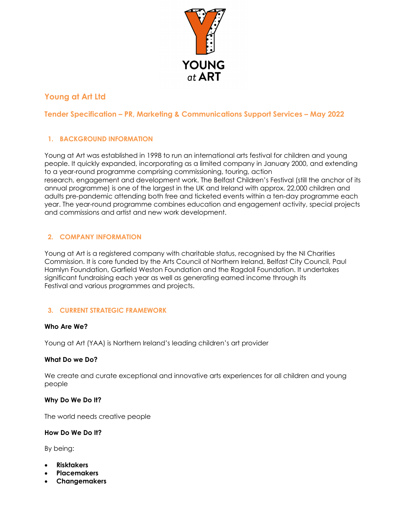

# **Young at Art Ltd**

## **Tender Specification – PR, Marketing & Communications Support Services – May 2022**

## **1. BACKGROUND INFORMATION**

Young at Art was established in 1998 to run an international arts festival for children and young people. It quickly expanded, incorporating as a limited company in January 2000, and extending to a year-round programme comprising commissioning, touring, action research, engagement and development work. The Belfast Children's Festival (still the anchor of its annual programme) is one of the largest in the UK and Ireland with approx. 22,000 children and adults pre-pandemic attending both free and ticketed events within a ten-day programme each year. The year-round programme combines education and engagement activity, special projects and commissions and artist and new work development.

## **2. COMPANY INFORMATION**

Young at Art is a registered company with charitable status, recognised by the NI Charities Commission. It is core funded by the Arts Council of Northern Ireland, Belfast City Council, Paul Hamlyn Foundation, Garfield Weston Foundation and the Ragdoll Foundation. It undertakes significant fundraising each year as well as generating earned income through its Festival and various programmes and projects.

## **3. CURRENT STRATEGIC FRAMEWORK**

## **Who Are We?**

Young at Art (YAA) is Northern Ireland's leading children's art provider

## **What Do we Do?**

We create and curate exceptional and innovative arts experiences for all children and young people

## **Why Do We Do It?**

The world needs creative people

#### **How Do We Do It?**

By being:

- **Risktakers**
- **Placemakers**
- **Changemakers**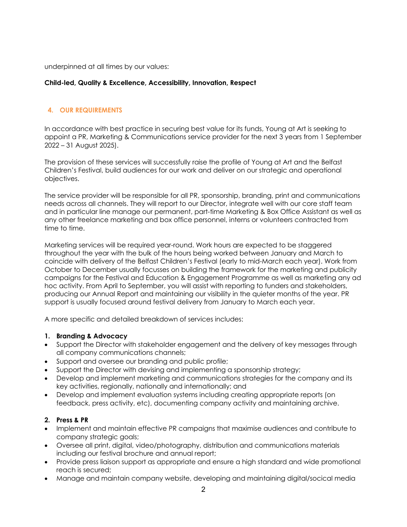underpinned at all times by our values:

#### **Child-led, Quality & Excellence, Accessibility, Innovation, Respect**

#### **4. OUR REQUIREMENTS**

In accordance with best practice in securing best value for its funds, Young at Art is seeking to appoint a PR, Marketing & Communications service provider for the next 3 years from 1 September 2022 – 31 August 2025).

The provision of these services will successfully raise the profile of Young at Art and the Belfast Children's Festival, build audiences for our work and deliver on our strategic and operational objectives.

The service provider will be responsible for all PR, sponsorship, branding, print and communications needs across all channels. They will report to our Director, integrate well with our core staff team and in particular line manage our permanent, part-time Marketing & Box Office Assistant as well as any other freelance marketing and box office personnel, interns or volunteers contracted from time to time.

Marketing services will be required year-round. Work hours are expected to be staggered throughout the year with the bulk of the hours being worked between January and March to coincide with delivery of the Belfast Children's Festival (early to mid-March each year). Work from October to December usually focusses on building the framework for the marketing and publicity campaigns for the Festival and Education & Engagement Programme as well as marketing any ad hoc activity. From April to September, you will assist with reporting to funders and stakeholders, producing our Annual Report and maintaining our visibility in the quieter months of the year. PR support is usually focused around festival delivery from January to March each year.

A more specific and detailed breakdown of services includes:

#### **1. Branding & Advocacy**

- Support the Director with stakeholder engagement and the delivery of key messages through all company communications channels;
- Support and oversee our branding and public profile;
- Support the Director with devising and implementing a sponsorship strategy;
- Develop and implement marketing and communications strategies for the company and its key activities, regionally, nationally and internationally; and
- Develop and implement evaluation systems including creating appropriate reports (on feedback, press activity, etc), documenting company activity and maintaining archive.

#### **2. Press & PR**

- Implement and maintain effective PR campaigns that maximise audiences and contribute to company strategic goals;
- Oversee all print, digital, video/photography, distribution and communications materials including our festival brochure and annual report;
- Provide press liaison support as appropriate and ensure a high standard and wide promotional reach is secured;
- Manage and maintain company website, developing and maintaining digital/socical media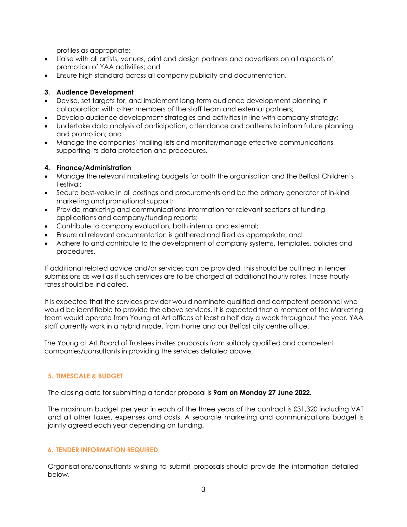profiles as appropriate;

- Liaise with all artists, venues, print and design partners and advertisers on all aspects of promotion of YAA activities; and
- Ensure high standard across all company publicity and documentation.

#### **3. Audience Development**

- Devise, set targets for, and implement long-term audience development planning in collaboration with other members of the staff team and external partners;
- Develop audience development strategies and activities in line with company strategy;
- Undertake data analysis of participation, attendance and patterns to inform future planning and promotion; and
- Manage the companies' mailing lists and monitor/manage effective communications, supporting its data protection and procedures.

#### **4. Finance/Administration**

- Manage the relevant marketing budgets for both the organisation and the Belfast Children's Festival;
- Secure best-value in all costings and procurements and be the primary generator of in-kind marketing and promotional support;
- Provide marketing and communications information for relevant sections of funding applications and company/funding reports;
- Contribute to company evaluation, both internal and external;
- Ensure all relevant documentation is gathered and filed as appropriate; and
- Adhere to and contribute to the development of company systems, templates, policies and procedures.

If additional related advice and/or services can be provided, this should be outlined in tender submissions as well as if such services are to be charged at additional hourly rates. Those hourly rates should be indicated.

It is expected that the services provider would nominate qualified and competent personnel who would be identifiable to provide the above services. It is expected that a member of the Marketing team would operate from Young at Art offices at least a half day a week throughout the year. YAA staff currently work in a hybrid mode, from home and our Belfast city centre office.

The Young at Art Board of Trustees invites proposals from suitably qualified and competent companies/consultants in providing the services detailed above.

## **5. TIMESCALE & BUDGET**

The closing date for submitting a tender proposal is **9am on Monday 27 June 2022.**

The maximum budget per year in each of the three years of the contract is £31,320 including VAT and all other taxes, expenses and costs. A separate marketing and communications budget is jointly agreed each year depending on funding.

#### **6. TENDER INFORMATION REQUIRED**

Organisations/consultants wishing to submit proposals should provide the information detailed below.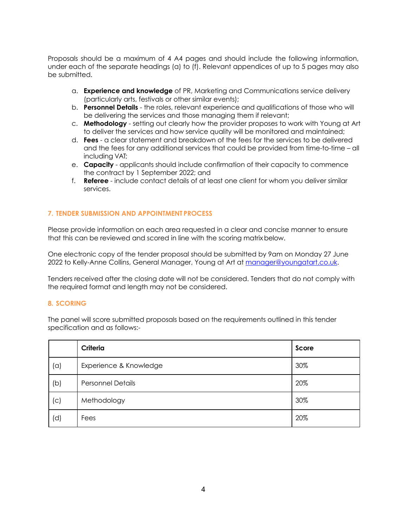Proposals should be a maximum of 4 A4 pages and should include the following information, under each of the separate headings (a) to (f). Relevant appendices of up to 5 pages may also be submitted.

- a. **Experience and knowledge** of PR, Marketing and Communications service delivery (particularly arts, festivals or other similar events);
- b. **Personnel Details**  the roles, relevant experience and qualifications of those who will be delivering the services and those managing them if relevant;
- c. **Methodology**  setting out clearly how the provider proposes to work with Young at Art to deliver the services and how service quality will be monitored and maintained;
- d. **Fees**  a clear statement and breakdown of the fees for the services to be delivered and the fees for any additional services that could be provided from time-to-time – all including VAT;
- e. **Capacity**  applicants should include confirmation of their capacity to commence the contract by 1 September 2022; and
- f. **Referee**  include contact details of at least one client for whom you deliver similar services.

#### **7. TENDER SUBMISSION AND APPOINTMENT PROCESS**

Please provide information on each area requested in a clear and concise manner to ensure that this can be reviewed and scored in line with the scoring matrixbelow.

One electronic copy of the tender proposal should be submitted by 9am on Monday 27 June 2022 to Kelly-Anne Collins, General Manager, Young at Art at manager@youngatart.co.uk.

Tenders received after the closing date will not be considered. Tenders that do not comply with the required format and length may not be considered.

#### **8. SCORING**

The panel will score submitted proposals based on the requirements outlined in this tender specification and as follows:-

|     | Criteria                 | Score |
|-----|--------------------------|-------|
| (a) | Experience & Knowledge   | 30%   |
| (b) | <b>Personnel Details</b> | 20%   |
| (c) | Methodology              | 30%   |
| (d) | Fees                     | 20%   |